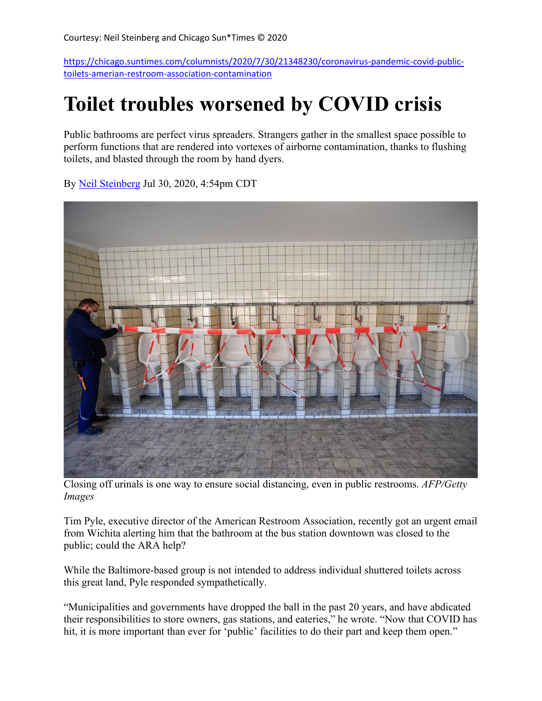[https://chicago.suntimes.com/columnists/2020/7/30/21348230/coronavirus-pandemic-covid-public](https://chicago.suntimes.com/columnists/2020/7/30/21348230/coronavirus-pandemic-covid-public-toilets-amerian-restroom-association-contamination)[toilets-amerian-restroom-association-contamination](https://chicago.suntimes.com/columnists/2020/7/30/21348230/coronavirus-pandemic-covid-public-toilets-amerian-restroom-association-contamination)

## **Toilet troubles worsened by COVID crisis**

Public bathrooms are perfect virus spreaders. Strangers gather in the smallest space possible to perform functions that are rendered into vortexes of airborne contamination, thanks to flushing toilets, and blasted through the room by hand dyers.



By [Neil Steinberg](https://chicago.suntimes.com/authors/neil-steinberg) Jul 30, 2020, 4:54pm CDT

Closing off urinals is one way to ensure social distancing, even in public restrooms. *AFP/Getty Images*

Tim Pyle, executive director of the American Restroom Association, recently got an urgent email from Wichita alerting him that the bathroom at the bus station downtown was closed to the public; could the ARA help?

While the Baltimore-based group is not intended to address individual shuttered toilets across this great land, Pyle responded sympathetically.

"Municipalities and governments have dropped the ball in the past 20 years, and have abdicated their responsibilities to store owners, gas stations, and eateries," he wrote. "Now that COVID has hit, it is more important than ever for 'public' facilities to do their part and keep them open."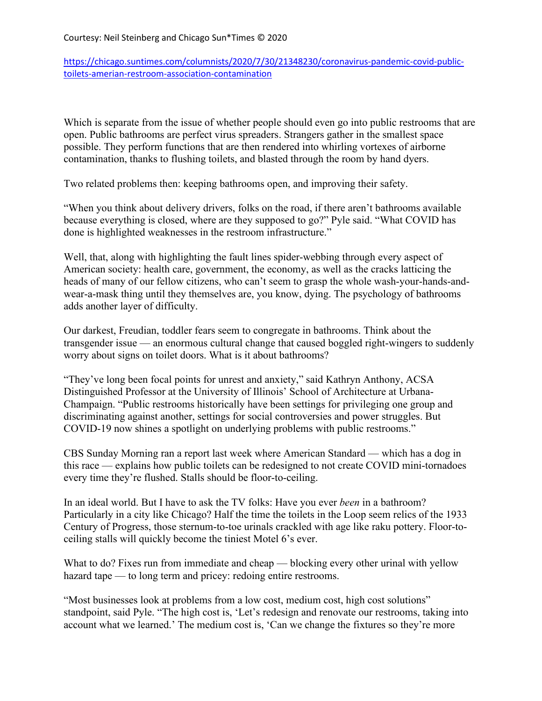[https://chicago.suntimes.com/columnists/2020/7/30/21348230/coronavirus-pandemic-covid-public](https://chicago.suntimes.com/columnists/2020/7/30/21348230/coronavirus-pandemic-covid-public-toilets-amerian-restroom-association-contamination)[toilets-amerian-restroom-association-contamination](https://chicago.suntimes.com/columnists/2020/7/30/21348230/coronavirus-pandemic-covid-public-toilets-amerian-restroom-association-contamination)

Which is separate from the issue of whether people should even go into public restrooms that are open. Public bathrooms are perfect virus spreaders. Strangers gather in the smallest space possible. They perform functions that are then rendered into whirling vortexes of airborne contamination, thanks to flushing toilets, and blasted through the room by hand dyers.

Two related problems then: keeping bathrooms open, and improving their safety.

"When you think about delivery drivers, folks on the road, if there aren't bathrooms available because everything is closed, where are they supposed to go?" Pyle said. "What COVID has done is highlighted weaknesses in the restroom infrastructure."

Well, that, along with highlighting the fault lines spider-webbing through every aspect of American society: health care, government, the economy, as well as the cracks latticing the heads of many of our fellow citizens, who can't seem to grasp the whole wash-your-hands-andwear-a-mask thing until they themselves are, you know, dying. The psychology of bathrooms adds another layer of difficulty.

Our darkest, Freudian, toddler fears seem to congregate in bathrooms. Think about the transgender issue — an enormous cultural change that caused boggled right-wingers to suddenly worry about signs on toilet doors. What is it about bathrooms?

"They've long been focal points for unrest and anxiety," said Kathryn Anthony, ACSA Distinguished Professor at the University of Illinois' School of Architecture at Urbana-Champaign. "Public restrooms historically have been settings for privileging one group and discriminating against another, settings for social controversies and power struggles. But COVID-19 now shines a spotlight on underlying problems with public restrooms."

CBS Sunday Morning ran a report last week where American Standard — which has a dog in this race — explains how public toilets can be redesigned to not create COVID mini-tornadoes every time they're flushed. Stalls should be floor-to-ceiling.

In an ideal world. But I have to ask the TV folks: Have you ever *been* in a bathroom? Particularly in a city like Chicago? Half the time the toilets in the Loop seem relics of the 1933 Century of Progress, those sternum-to-toe urinals crackled with age like raku pottery. Floor-toceiling stalls will quickly become the tiniest Motel 6's ever.

What to do? Fixes run from immediate and cheap — blocking every other urinal with yellow hazard tape — to long term and pricey: redoing entire restrooms.

"Most businesses look at problems from a low cost, medium cost, high cost solutions" standpoint, said Pyle. "The high cost is, 'Let's redesign and renovate our restrooms, taking into account what we learned.' The medium cost is, 'Can we change the fixtures so they're more